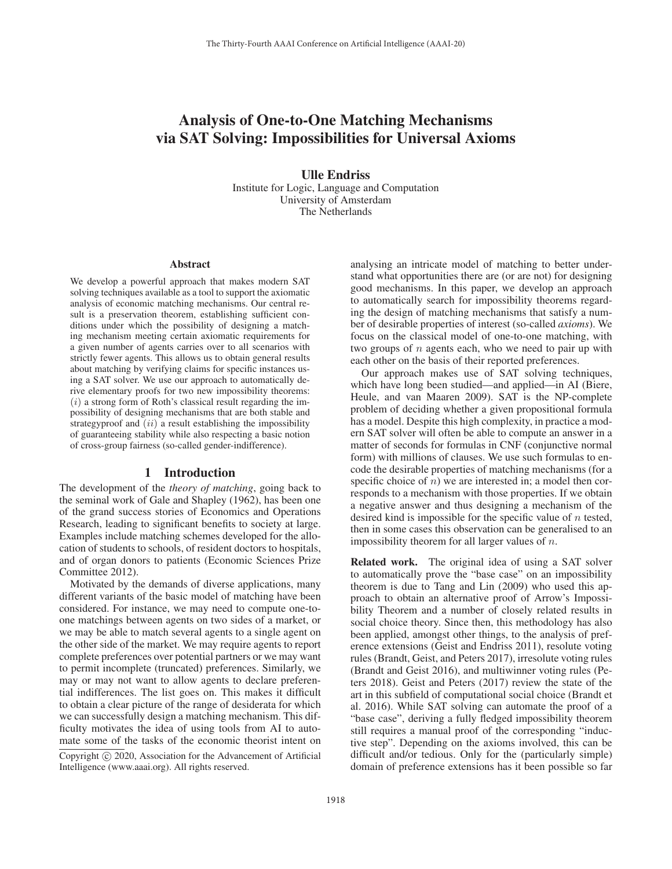# Analysis of One-to-One Matching Mechanisms via SAT Solving: Impossibilities for Universal Axioms

Ulle Endriss Institute for Logic, Language and Computation University of Amsterdam The Netherlands

#### Abstract

We develop a powerful approach that makes modern SAT solving techniques available as a tool to support the axiomatic analysis of economic matching mechanisms. Our central result is a preservation theorem, establishing sufficient conditions under which the possibility of designing a matching mechanism meeting certain axiomatic requirements for a given number of agents carries over to all scenarios with strictly fewer agents. This allows us to obtain general results about matching by verifying claims for specific instances using a SAT solver. We use our approach to automatically derive elementary proofs for two new impossibility theorems:  $(i)$  a strong form of Roth's classical result regarding the impossibility of designing mechanisms that are both stable and strategyproof and  $(ii)$  a result establishing the impossibility of guaranteeing stability while also respecting a basic notion of cross-group fairness (so-called gender-indifference).

# 1 Introduction

The development of the *theory of matching*, going back to the seminal work of Gale and Shapley (1962), has been one of the grand success stories of Economics and Operations Research, leading to significant benefits to society at large. Examples include matching schemes developed for the allocation of students to schools, of resident doctors to hospitals, and of organ donors to patients (Economic Sciences Prize Committee 2012).

Motivated by the demands of diverse applications, many different variants of the basic model of matching have been considered. For instance, we may need to compute one-toone matchings between agents on two sides of a market, or we may be able to match several agents to a single agent on the other side of the market. We may require agents to report complete preferences over potential partners or we may want to permit incomplete (truncated) preferences. Similarly, we may or may not want to allow agents to declare preferential indifferences. The list goes on. This makes it difficult to obtain a clear picture of the range of desiderata for which we can successfully design a matching mechanism. This difficulty motivates the idea of using tools from AI to automate some of the tasks of the economic theorist intent on

Copyright  $\odot$  2020, Association for the Advancement of Artificial Intelligence (www.aaai.org). All rights reserved.

analysing an intricate model of matching to better understand what opportunities there are (or are not) for designing good mechanisms. In this paper, we develop an approach to automatically search for impossibility theorems regarding the design of matching mechanisms that satisfy a number of desirable properties of interest (so-called *axioms*). We focus on the classical model of one-to-one matching, with two groups of  $n$  agents each, who we need to pair up with each other on the basis of their reported preferences.

Our approach makes use of SAT solving techniques, which have long been studied—and applied—in AI (Biere, Heule, and van Maaren 2009). SAT is the NP-complete problem of deciding whether a given propositional formula has a model. Despite this high complexity, in practice a modern SAT solver will often be able to compute an answer in a matter of seconds for formulas in CNF (conjunctive normal form) with millions of clauses. We use such formulas to encode the desirable properties of matching mechanisms (for a specific choice of  $n$ ) we are interested in; a model then corresponds to a mechanism with those properties. If we obtain a negative answer and thus designing a mechanism of the desired kind is impossible for the specific value of  $n$  tested, then in some cases this observation can be generalised to an impossibility theorem for all larger values of  $n$ .

Related work. The original idea of using a SAT solver to automatically prove the "base case" on an impossibility theorem is due to Tang and Lin (2009) who used this approach to obtain an alternative proof of Arrow's Impossibility Theorem and a number of closely related results in social choice theory. Since then, this methodology has also been applied, amongst other things, to the analysis of preference extensions (Geist and Endriss 2011), resolute voting rules (Brandt, Geist, and Peters 2017), irresolute voting rules (Brandt and Geist 2016), and multiwinner voting rules (Peters 2018). Geist and Peters (2017) review the state of the art in this subfield of computational social choice (Brandt et al. 2016). While SAT solving can automate the proof of a "base case", deriving a fully fledged impossibility theorem still requires a manual proof of the corresponding "inductive step". Depending on the axioms involved, this can be difficult and/or tedious. Only for the (particularly simple) domain of preference extensions has it been possible so far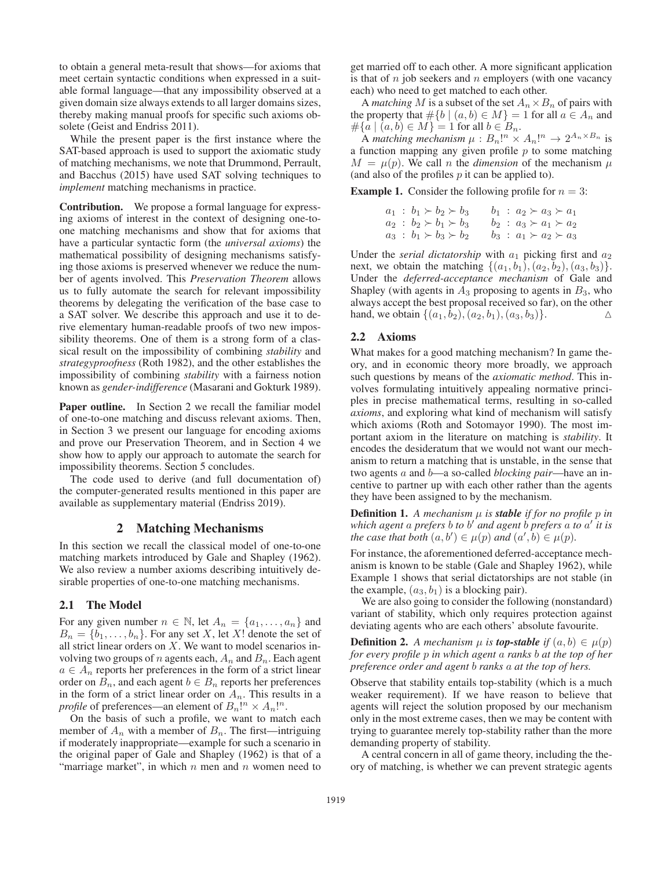to obtain a general meta-result that shows—for axioms that meet certain syntactic conditions when expressed in a suitable formal language—that any impossibility observed at a given domain size always extends to all larger domains sizes, thereby making manual proofs for specific such axioms obsolete (Geist and Endriss 2011).

While the present paper is the first instance where the SAT-based approach is used to support the axiomatic study of matching mechanisms, we note that Drummond, Perrault, and Bacchus (2015) have used SAT solving techniques to *implement* matching mechanisms in practice.

Contribution. We propose a formal language for expressing axioms of interest in the context of designing one-toone matching mechanisms and show that for axioms that have a particular syntactic form (the *universal axioms*) the mathematical possibility of designing mechanisms satisfying those axioms is preserved whenever we reduce the number of agents involved. This *Preservation Theorem* allows us to fully automate the search for relevant impossibility theorems by delegating the verification of the base case to a SAT solver. We describe this approach and use it to derive elementary human-readable proofs of two new impossibility theorems. One of them is a strong form of a classical result on the impossibility of combining *stability* and *strategyproofness* (Roth 1982), and the other establishes the impossibility of combining *stability* with a fairness notion known as *gender-indifference* (Masarani and Gokturk 1989).

Paper outline. In Section 2 we recall the familiar model of one-to-one matching and discuss relevant axioms. Then, in Section 3 we present our language for encoding axioms and prove our Preservation Theorem, and in Section 4 we show how to apply our approach to automate the search for impossibility theorems. Section 5 concludes.

The code used to derive (and full documentation of) the computer-generated results mentioned in this paper are available as supplementary material (Endriss 2019).

## 2 Matching Mechanisms

In this section we recall the classical model of one-to-one matching markets introduced by Gale and Shapley (1962). We also review a number axioms describing intuitively desirable properties of one-to-one matching mechanisms.

## 2.1 The Model

For any given number  $n \in \mathbb{N}$ , let  $A_n = \{a_1, \ldots, a_n\}$  and  $B_n = \{b_1, \ldots, b_n\}$ . For any set X, let X! denote the set of all strict linear orders on  $X$ . We want to model scenarios involving two groups of n agents each,  $A_n$  and  $B_n$ . Each agent  $a \in A_n$  reports her preferences in the form of a strict linear order on  $B_n$ , and each agent  $b \in B_n$  reports her preferences in the form of a strict linear order on  $A_n$ . This results in a *profile* of preferences—an element of  $B_n!^n \times A_n!^n$ .

On the basis of such a profile, we want to match each member of  $A_n$  with a member of  $B_n$ . The first—intriguing if moderately inappropriate—example for such a scenario in the original paper of Gale and Shapley (1962) is that of a "marriage market", in which  $n$  men and  $n$  women need to

get married off to each other. A more significant application is that of  $n$  job seekers and  $n$  employers (with one vacancy each) who need to get matched to each other.

A *matching* M is a subset of the set  $A_n \times B_n$  of pairs with the property that  $\#\{b \mid (a, b) \in M\} = 1$  for all  $a \in A_n$  and  $\#\{a \mid (a, b) \in M\} = 1$  for all  $b \in B_n$ .

A *matching mechanism*  $\mu : B_n!^n \times A_n!^n \to 2^{A_n \times B_n}$  is a function mapping any given profile  $p$  to some matching  $M = \mu(p)$ . We call *n* the *dimension* of the mechanism  $\mu$ (and also of the profiles  $p$  it can be applied to).

**Example 1.** Consider the following profile for  $n = 3$ :

$$
a_1 : b_1 \succ b_2 \succ b_3 \qquad b_1 : a_2 \succ a_3 \succ a_1 a_2 : b_2 \succ b_1 \succ b_3 \qquad b_2 : a_3 \succ a_1 \succ a_2 a_3 : b_1 \succ b_3 \succ b_2 \qquad b_3 : a_1 \succ a_2 \succ a_3
$$

Under the *serial dictatorship* with  $a_1$  picking first and  $a_2$ next, we obtain the matching  $\{(a_1, b_1), (a_2, b_2), (a_3, b_3)\}.$ Under the *deferred-acceptance mechanism* of Gale and Shapley (with agents in  $A_3$  proposing to agents in  $B_3$ , who always accept the best proposal received so far), on the other hand, we obtain  $\{(a_1, b_2), (a_2, b_1), (a_3, b_3)\}.$ 

# 2.2 Axioms

What makes for a good matching mechanism? In game theory, and in economic theory more broadly, we approach such questions by means of the *axiomatic method*. This involves formulating intuitively appealing normative principles in precise mathematical terms, resulting in so-called *axioms*, and exploring what kind of mechanism will satisfy which axioms (Roth and Sotomayor 1990). The most important axiom in the literature on matching is *stability*. It encodes the desideratum that we would not want our mechanism to return a matching that is unstable, in the sense that two agents a and b—a so-called *blocking pair*—have an incentive to partner up with each other rather than the agents they have been assigned to by the mechanism.

Definition 1. *A mechanism* μ *is stable if for no profile* p *in which agent* a *prefers* b *to* b- *and agent* b *prefers* a *to* a- *it is the case that both*  $(a, b') \in \mu(p)$  *and*  $(a', b) \in \mu(p)$ *.* 

For instance, the aforementioned deferred-acceptance mechanism is known to be stable (Gale and Shapley 1962), while Example 1 shows that serial dictatorships are not stable (in the example,  $(a_3, b_1)$  is a blocking pair).

We are also going to consider the following (nonstandard) variant of stability, which only requires protection against deviating agents who are each others' absolute favourite.

**Definition 2.** A mechanism  $\mu$  is **top-stable** if  $(a, b) \in \mu(p)$ *for every profile* p *in which agent* a *ranks* b *at the top of her preference order and agent* b *ranks* a *at the top of hers.*

Observe that stability entails top-stability (which is a much weaker requirement). If we have reason to believe that agents will reject the solution proposed by our mechanism only in the most extreme cases, then we may be content with trying to guarantee merely top-stability rather than the more demanding property of stability.

A central concern in all of game theory, including the theory of matching, is whether we can prevent strategic agents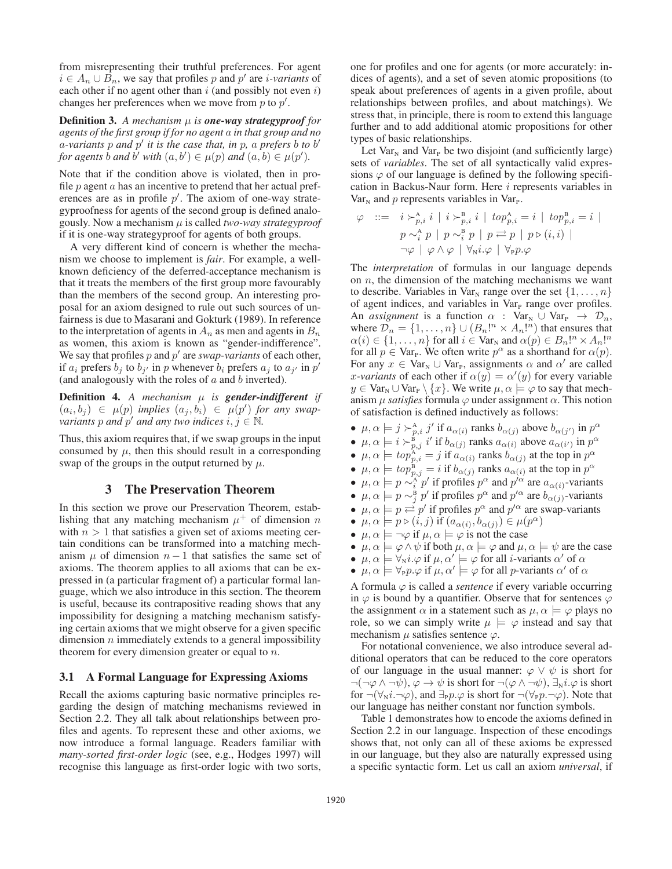from misrepresenting their truthful preferences. For agent  $i ∈ A_n ∪ B_n$ , we say that profiles p and p' are *i*-variants of each other if no agent other than  $i$  (and possibly not even  $i$ ) changes her preferences when we move from  $p$  to  $p'$ .

Definition 3. *A mechanism* μ *is one-way strategyproof for agents of the first group if for no agent* a *in that group and no*  $a$ -variants  $p$  and  $p'$  it is the case that, in  $p$ ,  $a$  prefers  $b$  to  $b'$ *for agents b and b' with*  $(a, b') \in \mu(p)$  *and*  $(a, b) \in \mu(p')$ *.* 

Note that if the condition above is violated, then in profile  $p$  agent  $a$  has an incentive to pretend that her actual preferences are as in profile  $p'$ . The axiom of one-way strategyproofness for agents of the second group is defined analogously. Now a mechanism μ is called *two-way strategyproof* if it is one-way strategyproof for agents of both groups.

A very different kind of concern is whether the mechanism we choose to implement is *fair*. For example, a wellknown deficiency of the deferred-acceptance mechanism is that it treats the members of the first group more favourably than the members of the second group. An interesting proposal for an axiom designed to rule out such sources of unfairness is due to Masarani and Gokturk (1989). In reference to the interpretation of agents in  $A_n$  as men and agents in  $B_n$ as women, this axiom is known as "gender-indifference". We say that profiles  $p$  and  $p'$  are *swap-variants* of each other, if  $a_i$  prefers  $b_j$  to  $b_{j'}$  in p whenever  $b_i$  prefers  $a_j$  to  $a_{j'}$  in  $p'$ (and analogously with the roles of  $a$  and  $b$  inverted).

**Definition 4.** *A mechanism*  $\mu$  *is gender-indifferent if*  $(a_i, b_j) \in \mu(p)$  *implies*  $(a_j, b_i) \in \mu(p')$  *for any swapvariants* p and p' and any two indices  $i, j \in \mathbb{N}$ .

Thus, this axiom requires that, if we swap groups in the input consumed by  $\mu$ , then this should result in a corresponding swap of the groups in the output returned by  $\mu$ .

# 3 The Preservation Theorem

In this section we prove our Preservation Theorem, establishing that any matching mechanism  $\mu^+$  of dimension n with  $n > 1$  that satisfies a given set of axioms meeting certain conditions can be transformed into a matching mechanism  $\mu$  of dimension  $n-1$  that satisfies the same set of axioms. The theorem applies to all axioms that can be expressed in (a particular fragment of) a particular formal language, which we also introduce in this section. The theorem is useful, because its contrapositive reading shows that any impossibility for designing a matching mechanism satisfying certain axioms that we might observe for a given specific dimension  $n$  immediately extends to a general impossibility theorem for every dimension greater or equal to  $n$ .

# 3.1 A Formal Language for Expressing Axioms

Recall the axioms capturing basic normative principles regarding the design of matching mechanisms reviewed in Section 2.2. They all talk about relationships between profiles and agents. To represent these and other axioms, we now introduce a formal language. Readers familiar with *many-sorted first-order logic* (see, e.g., Hodges 1997) will recognise this language as first-order logic with two sorts, one for profiles and one for agents (or more accurately: indices of agents), and a set of seven atomic propositions (to speak about preferences of agents in a given profile, about relationships between profiles, and about matchings). We stress that, in principle, there is room to extend this language further and to add additional atomic propositions for other types of basic relationships.

Let  $Var_N$  and  $Var_P$  be two disjoint (and sufficiently large) sets of *variables*. The set of all syntactically valid expressions  $\varphi$  of our language is defined by the following specification in Backus-Naur form. Here i represents variables in  $Var_N$  and p represents variables in Var<sub>P</sub>.

$$
\varphi \quad ::= \quad i \succ^A_{p,i} \quad i \mid i \succ^B_{p,i} \quad i \mid top^A_{p,i} = i \mid top^B_{p,i} = i \mid
$$
\n
$$
p \sim^A_i p \mid p \sim^B_i p \mid p \rightleftarrows p \mid p \triangleright (i,i) \mid
$$
\n
$$
\neg \varphi \mid \varphi \land \varphi \mid \forall_{\mathbf{N}} i \cdot \varphi \mid \forall_{\mathbf{P}} p \cdot \varphi
$$

The *interpretation* of formulas in our language depends on  $n$ , the dimension of the matching mechanisms we want to describe. Variables in Var<sub>N</sub> range over the set  $\{1,\ldots,n\}$ of agent indices, and variables in  $Var_{P}$  range over profiles. An *assignment* is a function  $\alpha$  : Var<sub>N</sub> ∪ Var<sub>P</sub>  $\rightarrow$   $\mathcal{D}_n$ , where  $\mathcal{D}_n = \{1, \ldots, n\} \cup (B_n!^n \times A_n!^n)$  that ensures that  $\alpha(i) \in \{1, \ldots, n\}$  for all  $i \in \text{Var}_{N}$  and  $\alpha(p) \in B_n!^n \times A_n!^n$ for all  $p \in \text{Var}_{P}$ . We often write  $p^{\alpha}$  as a shorthand for  $\alpha(p)$ . For any  $x \in \text{Var}_{N} \cup \text{Var}_{P}$ , assignments  $\alpha$  and  $\alpha'$  are called x-variants of each other if  $\alpha(y) = \alpha'(y)$  for every variable  $y \in \text{Var}_{N} \cup \text{Var}_{P} \setminus \{x\}.$  We write  $\mu, \alpha \models \varphi$  to say that mechanism  $\mu$  *satisfies* formula  $\varphi$  under assignment  $\alpha$ . This notion of satisfaction is defined inductively as follows:

- $\mu, \alpha \models j \succ_{p,i}^{\mathcal{A}} j'$  if  $a_{\alpha(i)}$  ranks  $b_{\alpha(j)}$  above  $b_{\alpha(j')}$  in  $p^{\alpha}$
- $\mu, \alpha \models i \succ^{\hat{\mathbf{B}}}_{p,j} i'$  if  $b_{\alpha(j)}$  ranks  $a_{\alpha(i)}$  above  $a_{\alpha(i')}$  in  $p^{\alpha}$
- $\mu, \alpha \models top_{p,i}^{\hat{A}} = j$  if  $a_{\alpha(i)}$  ranks  $b_{\alpha(j)}$  at the top in  $p^{\alpha}$
- $\mu, \alpha \models top_{p,j}^{\hat{B}} = i$  if  $b_{\alpha(j)}$  ranks  $a_{\alpha(i)}$  at the top in  $p^{\alpha}$
- $\mu, \alpha \models p \sim_i^{\alpha} p'$  if profiles  $p^{\alpha}$  and  $p'^{\alpha}$  are  $a_{\alpha(i)}$ -variants
- $\mu, \alpha \models p \sim^{\mathbb{B}}_{j} p'$  if profiles  $p^{\alpha}$  and  $p'^{\alpha}$  are  $b_{\alpha(j)}$ -variants
- $\mu, \alpha \models p \rightleftarrows p'$  if profiles  $p^{\alpha}$  and  $p'^{\alpha}$  are swap-variants
- $\mu, \alpha \models p \triangleright (i, j)$  if  $(a_{\alpha(i)}, b_{\alpha(j)}) \in \mu(p^{\alpha})$
- $\mu, \alpha \models \neg \varphi$  if  $\mu, \alpha \models \varphi$  is not the case
- $\mu, \alpha \models \varphi \land \psi$  if both  $\mu, \alpha \models \varphi$  and  $\mu, \alpha \models \psi$  are the case
- $\mu, \alpha \models \forall_{N} i. \varphi$  if  $\mu, \alpha' \models \varphi$  for all *i*-variants  $\alpha'$  of  $\alpha$
- $\mu, \alpha \models \forall_{\text{P}} p. \varphi \text{ if } \mu, \alpha' \models \varphi \text{ for all } p\text{-variants } \alpha' \text{ of } \alpha$

A formula  $\varphi$  is called a *sentence* if every variable occurring in  $\varphi$  is bound by a quantifier. Observe that for sentences  $\varphi$ the assignment  $\alpha$  in a statement such as  $\mu, \alpha \models \varphi$  plays no role, so we can simply write  $\mu \models \varphi$  instead and say that mechanism  $\mu$  satisfies sentence  $\varphi$ .

For notational convenience, we also introduce several additional operators that can be reduced to the core operators of our language in the usual manner:  $\varphi \lor \psi$  is short for  $\neg(\neg \varphi \land \neg \psi), \varphi \rightarrow \psi$  is short for  $\neg(\varphi \land \neg \psi), \exists_{N} i.\varphi$  is short for  $\neg(\forall_N i.\neg\varphi)$ , and  $\exists_P p.\varphi$  is short for  $\neg(\forall_P p.\neg\varphi)$ . Note that our language has neither constant nor function symbols.

Table 1 demonstrates how to encode the axioms defined in Section 2.2 in our language. Inspection of these encodings shows that, not only can all of these axioms be expressed in our language, but they also are naturally expressed using a specific syntactic form. Let us call an axiom *universal*, if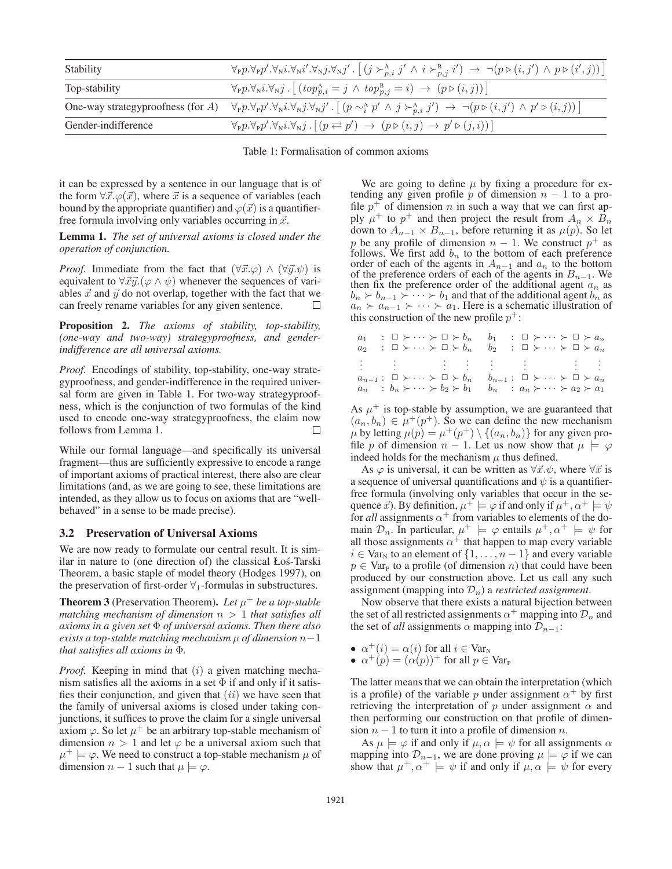| Stability           | $\forall_{p} p. \forall_{p} p'. \forall_{N} i. \forall_{N} i'. \forall_{N} j. \forall_{N} j'. \left[ (j \succ_{p,i}^{A} j' \wedge i \succ_{p,j}^{B} i') \rightarrow \neg (p \triangleright (i,j') \wedge p \triangleright (i',j)) \right]$  |
|---------------------|---------------------------------------------------------------------------------------------------------------------------------------------------------------------------------------------------------------------------------------------|
| Top-stability       | $\forall_{p} p. \forall_{N} i. \forall_{N} j. \left[ (top_{p,i}^{A} = j \wedge top_{p,j}^{B} = i) \rightarrow (p \triangleright (i,j)) \right]$                                                                                             |
|                     | One-way strategy proofness (for A) $\forall_p p \forall_p p' \forall_n i. \forall_n j. \forall_n j' \cdot \left[ (p \sim_i^A p' \land j \succ_{p,i}^A j') \rightarrow \neg (p \triangleright (i,j') \land p' \triangleright (i,j)) \right]$ |
| Gender-indifference | $\forall_{\text{P}} p. \forall_{\text{P}} p'. \forall_{\text{N}} i. \forall_{\text{N}} j . [(p \rightleftarrows p') \rightarrow (p \triangleright (i, j) \rightarrow p' \triangleright (j, i)) ]$                                           |

Table 1: Formalisation of common axioms

it can be expressed by a sentence in our language that is of the form  $\forall \vec{x}.\varphi(\vec{x})$ , where  $\vec{x}$  is a sequence of variables (each bound by the appropriate quantifier) and  $\varphi(\vec{x})$  is a quantifierfree formula involving only variables occurring in  $\vec{x}$ .

Lemma 1. *The set of universal axioms is closed under the operation of conjunction.*

*Proof.* Immediate from the fact that  $(\forall \vec{x}.\varphi) \land (\forall \vec{y}.\psi)$  is equivalent to  $\forall \vec{x} \vec{y}. (\varphi \wedge \psi)$  whenever the sequences of variables  $\vec{x}$  and  $\vec{y}$  do not overlap, together with the fact that we can freely rename variables for any given sentence. П

Proposition 2. *The axioms of stability, top-stability, (one-way and two-way) strategyproofness, and genderindifference are all universal axioms.*

*Proof.* Encodings of stability, top-stability, one-way strategyproofness, and gender-indifference in the required universal form are given in Table 1. For two-way strategyproofness, which is the conjunction of two formulas of the kind used to encode one-way strategyproofness, the claim now follows from Lemma 1.  $\Box$ 

While our formal language—and specifically its universal fragment—thus are sufficiently expressive to encode a range of important axioms of practical interest, there also are clear limitations (and, as we are going to see, these limitations are intended, as they allow us to focus on axioms that are "wellbehaved" in a sense to be made precise).

## 3.2 Preservation of Universal Axioms

We are now ready to formulate our central result. It is similar in nature to (one direction of) the classical Łos-Tarski ´ Theorem, a basic staple of model theory (Hodges 1997), on the preservation of first-order  $\forall_1$ -formulas in substructures.

**Theorem 3** (Preservation Theorem). Let  $\mu^+$  be a top-stable *matching mechanism of dimension*  $n > 1$  *that satisfies all axioms in a given set* Φ *of universal axioms. Then there also exists a top-stable matching mechanism* μ *of dimension* n−1 *that satisfies all axioms in* Φ*.*

*Proof.* Keeping in mind that (i) a given matching mechanism satisfies all the axioms in a set  $\Phi$  if and only if it satisfies their conjunction, and given that  $(ii)$  we have seen that the family of universal axioms is closed under taking conjunctions, it suffices to prove the claim for a single universal axiom  $\varphi$ . So let  $\mu^+$  be an arbitrary top-stable mechanism of dimension  $n > 1$  and let  $\varphi$  be a universal axiom such that  $\mu^+ \models \varphi$ . We need to construct a top-stable mechanism  $\mu$  of dimension  $n - 1$  such that  $\mu \models \varphi$ .

We are going to define  $\mu$  by fixing a procedure for extending any given profile p of dimension  $n - 1$  to a profile  $p^+$  of dimension n in such a way that we can first apply  $\mu^+$  to  $p^+$  and then project the result from  $A_n \times B_n$ down to  $A_{n-1} \times B_{n-1}$ , before returning it as  $\mu(p)$ . So let p be any profile of dimension  $n - 1$ . We construct  $p^+$  as follows. We first add  $b_n$  to the bottom of each preference order of each of the agents in  $A_{n-1}$  and  $a_n$  to the bottom of the preference orders of each of the agents in  $B_{n-1}$ . We then fix the preference order of the additional agent  $a_n$  as  $b_n > b_{n-1} > \cdots > b_1$  and that of the additional agent  $b_n$  as  $a_n \succ a_{n-1} \succ \cdots \succ a_1$ . Here is a schematic illustration of this construction of the new profile  $p^+$ :

| a <sub>2</sub> | $a_1$ : $\Box \succ \cdots \succ \Box \succ b_n$ $b_1$ : $\Box \succ \cdots \succ \Box \succ a_n$<br>$\exists \;\; \vdash \; \Box \succ \cdots \succ \Box \succ b_n$ $b_2$ $\;\; \vdash \; \Box \succ \cdots \succ \Box \succ a_n$ |  |  |
|----------------|------------------------------------------------------------------------------------------------------------------------------------------------------------------------------------------------------------------------------------|--|--|
|                |                                                                                                                                                                                                                                    |  |  |
|                | $a_{n-1}: \Box \succ \cdots \succ \Box \succ b_n$ $b_{n-1}: \Box \succ \cdots \succ \Box \succ a_n$<br>$a_n$ : $b_n \succ \cdots \succ b_2 \succ b_1$ $b_n$ : $a_n \succ \cdots \succ a_2 \succ a_1$                               |  |  |

As  $\mu^+$  is top-stable by assumption, we are guaranteed that  $(a_n, b_n) \in \mu^+(p^+)$ . So we can define the new mechanism  $\mu$  by letting  $\mu(p) = \mu^+(p^+) \setminus \{(a_n, b_n)\}\$ for any given profile p of dimension  $n - 1$ . Let us now show that  $\mu \models \varphi$ indeed holds for the mechanism  $\mu$  thus defined.

As  $\varphi$  is universal, it can be written as  $\forall \vec{x} \cdot \psi$ , where  $\forall \vec{x}$  is a sequence of universal quantifications and  $\psi$  is a quantifierfree formula (involving only variables that occur in the sequence  $\vec{x}$ ). By definition,  $\mu^+ \models \varphi$  if and only if  $\mu^+, \alpha^+ \models \psi$ for *all* assignments  $\alpha^+$  from variables to elements of the domain  $\mathcal{D}_n$ . In particular,  $\mu^+ \models \varphi$  entails  $\mu^+, \alpha^+ \models \psi$  for all those assignments  $\alpha^+$  that happen to map every variable  $i \in \text{Var}_{N}$  to an element of  $\{1, \ldots, n-1\}$  and every variable  $p \in \text{Var}_{P}$  to a profile (of dimension *n*) that could have been produced by our construction above. Let us call any such assignment (mapping into  $\mathcal{D}_n$ ) a *restricted assignment*.

Now observe that there exists a natural bijection between the set of all restricted assignments  $\alpha^+$  mapping into  $\mathcal{D}_n$  and the set of *all* assignments  $\alpha$  mapping into  $\mathcal{D}_{n-1}$ :

• 
$$
\alpha^+(i) = \alpha(i)
$$
 for all  $i \in \text{Var}_N$ 

•  $\alpha^+(p) = (\alpha(p))^+$  for all  $p \in \text{Var}_{\text{P}}$ 

The latter means that we can obtain the interpretation (which is a profile) of the variable p under assignment  $\alpha^+$  by first retrieving the interpretation of p under assignment  $\alpha$  and then performing our construction on that profile of dimension  $n - 1$  to turn it into a profile of dimension n.

As  $\mu \models \varphi$  if and only if  $\mu, \alpha \models \psi$  for all assignments  $\alpha$ mapping into  $\mathcal{D}_{n-1}$ , we are done proving  $\mu \models \varphi$  if we can show that  $\mu^+, \alpha^+ \models \psi$  if and only if  $\mu, \alpha \models \psi$  for every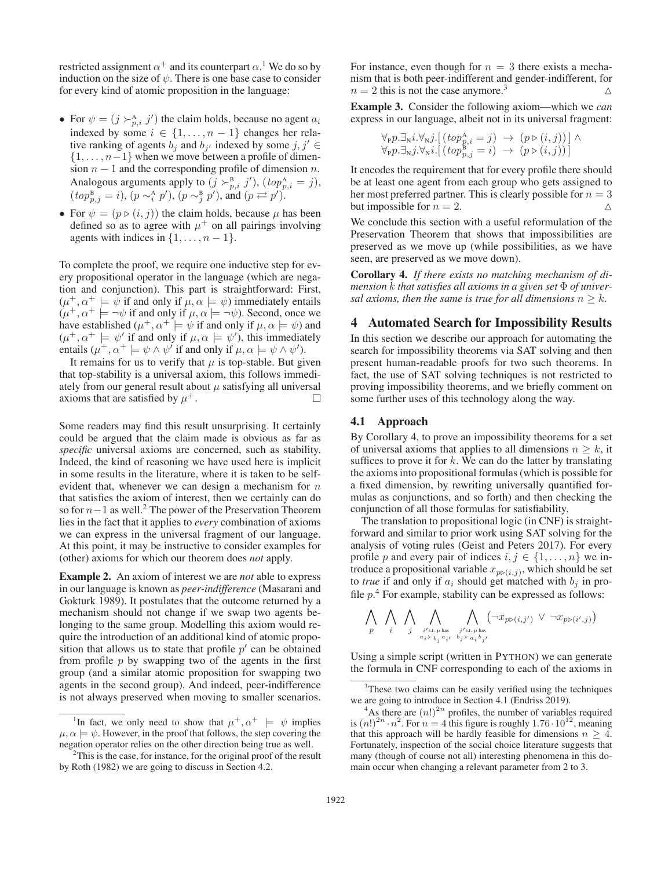restricted assignment  $\alpha^+$  and its counterpart  $\alpha$ .<sup>1</sup> We do so by induction on the size of  $\psi$ . There is one base case to consider for every kind of atomic proposition in the language:

- For  $\psi = (j \succ_{p,i}^A j')$  the claim holds, because no agent  $a_i$ indexed by some  $i \in \{1, \ldots, n-1\}$  changes her relative ranking of agents  $b_j$  and  $b_{j'}$  indexed by some  $j, j' \in$  $\{1,\ldots,n-1\}$  when we move between a profile of dimension  $n - 1$  and the corresponding profile of dimension n. Analogous arguments apply to  $(j \succ_{p,i}^B j')$ ,  $(top_{p,i}^A = j)$ ,  $(top_{p,j}^{\text{B}}=i)$ ,  $(p \sim_i^{\text{A}} p')$ ,  $(p \sim_j^{\text{B}} p')$ , and  $(p \rightleftarrows p')$ .
- For  $\psi = (p \triangleright (i, j))$  the claim holds, because  $\mu$  has been defined so as to agree with  $\mu^+$  on all pairings involving agents with indices in  $\{1,\ldots,n-1\}$ .

To complete the proof, we require one inductive step for every propositional operator in the language (which are negation and conjunction). This part is straightforward: First,  $(\mu^+, \alpha^+ \models \psi \text{ if and only if } \mu, \alpha \models \psi) \text{ immediately entails }$  $(\mu^+, \alpha^+ \models \neg \psi \text{ if and only if } \mu, \alpha \models \neg \psi).$  Second, once we have established  $(\mu^+, \alpha^+] = \psi$  if and only if  $\mu, \alpha \models \psi$ ) and  $(\mu^+, \alpha^+ \models \psi'$  if and only if  $\mu, \alpha \models \psi'$ , this immediately entails  $(\mu^+, \alpha^+ \models \psi \land \psi'$  if and only if  $\mu, \alpha \models \psi \land \psi'$ ).

It remains for us to verify that  $\mu$  is top-stable. But given that top-stability is a universal axiom, this follows immediately from our general result about  $\mu$  satisfying all universal axioms that are satisfied by  $\mu^+$ .  $\Box$ 

Some readers may find this result unsurprising. It certainly could be argued that the claim made is obvious as far as *specific* universal axioms are concerned, such as stability. Indeed, the kind of reasoning we have used here is implicit in some results in the literature, where it is taken to be selfevident that, whenever we can design a mechanism for  $n$ that satisfies the axiom of interest, then we certainly can do so for  $n-1$  as well.<sup>2</sup> The power of the Preservation Theorem lies in the fact that it applies to *every* combination of axioms we can express in the universal fragment of our language. At this point, it may be instructive to consider examples for (other) axioms for which our theorem does *not* apply.

Example 2. An axiom of interest we are *not* able to express in our language is known as *peer-indifference* (Masarani and Gokturk 1989). It postulates that the outcome returned by a mechanism should not change if we swap two agents belonging to the same group. Modelling this axiom would require the introduction of an additional kind of atomic proposition that allows us to state that profile  $p'$  can be obtained from profile  $p$  by swapping two of the agents in the first group (and a similar atomic proposition for swapping two agents in the second group). And indeed, peer-indifference is not always preserved when moving to smaller scenarios.

For instance, even though for  $n = 3$  there exists a mechanism that is both peer-indifferent and gender-indifferent, for  $n = 2$  this is not the case anymore.<sup>3</sup>

Example 3. Consider the following axiom—which we *can* express in our language, albeit not in its universal fragment:

$$
\forall_{p} p. \exists_{N} i. \forall_{N} j. [(top_{p,i}^{A} = j) \rightarrow (p \triangleright (i,j))] \land \n\forall_{p} p. \exists_{N} j. \forall_{N} i. [(top_{p,j}^{B} = i) \rightarrow (p \triangleright (i,j))]
$$

It encodes the requirement that for every profile there should be at least one agent from each group who gets assigned to her most preferred partner. This is clearly possible for  $n = 3$ but impossible for  $n = 2$ .

We conclude this section with a useful reformulation of the Preservation Theorem that shows that impossibilities are preserved as we move up (while possibilities, as we have seen, are preserved as we move down).

Corollary 4. *If there exists no matching mechanism of dimension* k *that satisfies all axioms in a given set* Φ *of universal axioms, then the same is true for all dimensions*  $n \geq k$ .

# 4 Automated Search for Impossibility Results

In this section we describe our approach for automating the search for impossibility theorems via SAT solving and then present human-readable proofs for two such theorems. In fact, the use of SAT solving techniques is not restricted to proving impossibility theorems, and we briefly comment on some further uses of this technology along the way.

#### 4.1 Approach

By Corollary 4, to prove an impossibility theorems for a set of universal axioms that applies to all dimensions  $n > k$ , it suffices to prove it for  $k$ . We can do the latter by translating the axioms into propositional formulas (which is possible for a fixed dimension, by rewriting universally quantified formulas as conjunctions, and so forth) and then checking the conjunction of all those formulas for satisfiability.

The translation to propositional logic (in CNF) is straightforward and similar to prior work using SAT solving for the analysis of voting rules (Geist and Peters 2017). For every profile p and every pair of indices  $i, j \in \{1, \ldots, n\}$  we introduce a propositional variable  $x_{p}(i,j)$ , which should be set to *true* if and only if  $a_i$  should get matched with  $b_j$  in profile  $p$ <sup>4</sup>. For example, stability can be expressed as follows:

$$
\bigwedge\limits_p \bigwedge\limits_i \bigwedge\limits_{j} \bigwedge\limits_{i' \text{ s.t. } p \text{ has } \atop a_i \succ_{b_j} a_{i'}} \bigwedge\limits_{j' \text{ s.t. } p \text{ has } \atop b_j \succ a_i b_{j'}} \bigl(\neg x_{p \triangleright (i,j')} \vee \neg x_{p \triangleright (i',j)}\bigr)
$$

Using a simple script (written in PYTHON) we can generate the formula in CNF corresponding to each of the axioms in

<sup>&</sup>lt;sup>1</sup>In fact, we only need to show that  $\mu^+, \alpha^+ \models \psi$  implies  $\mu, \alpha \models \psi$ . However, in the proof that follows, the step covering the negation operator relies on the other direction being true as well.

<sup>&</sup>lt;sup>2</sup>This is the case, for instance, for the original proof of the result by Roth (1982) we are going to discuss in Section 4.2.

<sup>&</sup>lt;sup>3</sup>These two claims can be easily verified using the techniques we are going to introduce in Section 4.1 (Endriss 2019).

<sup>&</sup>lt;sup>4</sup>As there are  $(n!)^{2n}$  profiles, the number of variables required is  $(n!)^{2n} \cdot n^2$ . For  $n = 4$  this figure is roughly  $1.76 \cdot 10^{12}$ , meaning that this approach will be hardly feasible for dimensions  $n \geq 4$ . Fortunately, inspection of the social choice literature suggests that many (though of course not all) interesting phenomena in this domain occur when changing a relevant parameter from 2 to 3.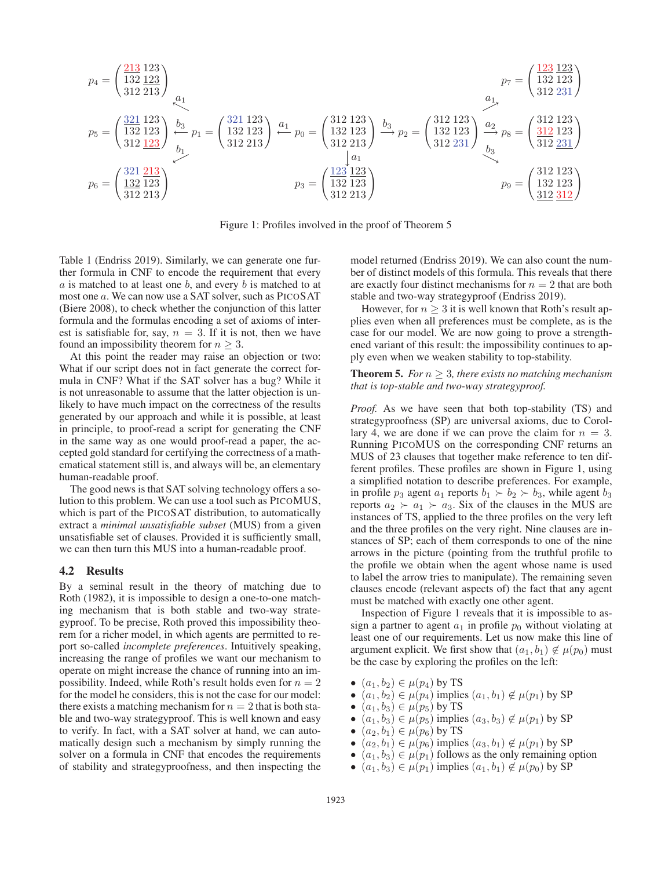$$
p_4 = \begin{pmatrix} \frac{213}{132} & \frac{123}{123} \\ \frac{312}{213} & \frac{a_1}{213} \end{pmatrix}
$$
  
\n
$$
p_5 = \begin{pmatrix} \frac{321}{132} & \frac{123}{123} \\ \frac{312}{123} & \frac{b_3}{b_1} \end{pmatrix}
$$
  
\n
$$
p_6 = \begin{pmatrix} \frac{321}{132} & \frac{123}{132} \\ \frac{312}{213} & \frac{b_1}{b_1} \end{pmatrix}
$$
  
\n
$$
p_7 = \begin{pmatrix} \frac{123}{132} & \frac{123}{123} \\ \frac{312}{213} & \frac{b_1}{b_1} \end{pmatrix}
$$
  
\n
$$
p_8 = \begin{pmatrix} \frac{321}{132} & \frac{213}{132} \\ \frac{123}{132} & \frac{213}{132} \end{pmatrix}
$$
  
\n
$$
p_9 = \begin{pmatrix} \frac{321}{132} & \frac{213}{132} \\ \frac{123}{132} & \frac{213}{132} \end{pmatrix}
$$
  
\n
$$
p_8 = \begin{pmatrix} \frac{321}{132} & \frac{213}{132} \\ \frac{123}{132} & \frac{213}{132} \end{pmatrix}
$$
  
\n
$$
p_9 = \begin{pmatrix} \frac{312}{132} & \frac{123}{123} \\ \frac{132}{132} & \frac{123}{132} \end{pmatrix}
$$
  
\n
$$
p_9 = \begin{pmatrix} \frac{312}{132} & \frac{123}{132} \\ \frac{132}{132} & \frac{123}{132} \end{pmatrix}
$$

Figure 1: Profiles involved in the proof of Theorem 5

Table 1 (Endriss 2019). Similarly, we can generate one further formula in CNF to encode the requirement that every  $a$  is matched to at least one  $b$ , and every  $b$  is matched to at most one a. We can now use a SAT solver, such as PICOSAT (Biere 2008), to check whether the conjunction of this latter formula and the formulas encoding a set of axioms of interest is satisfiable for, say,  $n = 3$ . If it is not, then we have found an impossibility theorem for  $n > 3$ .

At this point the reader may raise an objection or two: What if our script does not in fact generate the correct formula in CNF? What if the SAT solver has a bug? While it is not unreasonable to assume that the latter objection is unlikely to have much impact on the correctness of the results generated by our approach and while it is possible, at least in principle, to proof-read a script for generating the CNF in the same way as one would proof-read a paper, the accepted gold standard for certifying the correctness of a mathematical statement still is, and always will be, an elementary human-readable proof.

The good news is that SAT solving technology offers a solution to this problem. We can use a tool such as PICOMUS, which is part of the PICOSAT distribution, to automatically extract a *minimal unsatisfiable subset* (MUS) from a given unsatisfiable set of clauses. Provided it is sufficiently small, we can then turn this MUS into a human-readable proof.

# 4.2 Results

By a seminal result in the theory of matching due to Roth (1982), it is impossible to design a one-to-one matching mechanism that is both stable and two-way strategyproof. To be precise, Roth proved this impossibility theorem for a richer model, in which agents are permitted to report so-called *incomplete preferences*. Intuitively speaking, increasing the range of profiles we want our mechanism to operate on might increase the chance of running into an impossibility. Indeed, while Roth's result holds even for  $n = 2$ for the model he considers, this is not the case for our model: there exists a matching mechanism for  $n = 2$  that is both stable and two-way strategyproof. This is well known and easy to verify. In fact, with a SAT solver at hand, we can automatically design such a mechanism by simply running the solver on a formula in CNF that encodes the requirements of stability and strategyproofness, and then inspecting the

model returned (Endriss 2019). We can also count the number of distinct models of this formula. This reveals that there are exactly four distinct mechanisms for  $n = 2$  that are both stable and two-way strategyproof (Endriss 2019).

However, for  $n \geq 3$  it is well known that Roth's result applies even when all preferences must be complete, as is the case for our model. We are now going to prove a strengthened variant of this result: the impossibility continues to apply even when we weaken stability to top-stability.

# **Theorem 5.** *For*  $n \geq 3$ *, there exists no matching mechanism that is top-stable and two-way strategyproof.*

*Proof.* As we have seen that both top-stability (TS) and strategyproofness (SP) are universal axioms, due to Corollary 4, we are done if we can prove the claim for  $n = 3$ . Running PICOMUS on the corresponding CNF returns an MUS of 23 clauses that together make reference to ten different profiles. These profiles are shown in Figure 1, using a simplified notation to describe preferences. For example, in profile  $p_3$  agent  $a_1$  reports  $b_1 \succ b_2 \succ b_3$ , while agent  $b_3$ reports  $a_2 \succ a_1 \succ a_3$ . Six of the clauses in the MUS are instances of TS, applied to the three profiles on the very left and the three profiles on the very right. Nine clauses are instances of SP; each of them corresponds to one of the nine arrows in the picture (pointing from the truthful profile to the profile we obtain when the agent whose name is used to label the arrow tries to manipulate). The remaining seven clauses encode (relevant aspects of) the fact that any agent must be matched with exactly one other agent.

Inspection of Figure 1 reveals that it is impossible to assign a partner to agent  $a_1$  in profile  $p_0$  without violating at least one of our requirements. Let us now make this line of argument explicit. We first show that  $(a_1, b_1) \notin \mu(p_0)$  must be the case by exploring the profiles on the left:

- $(a_1, b_2) \in \mu(p_4)$  by TS
- $(a_1, b_2) \in \mu(p_4)$  implies  $(a_1, b_1) \notin \mu(p_1)$  by SP
- $(a_1, b_3) \in \mu(p_5)$  by TS
- $(a_1, b_3) \in \mu(p_5)$  implies  $(a_3, b_3) \notin \mu(p_1)$  by SP
- $(a_2, b_1) \in \mu(p_6)$  by TS
- $(a_2, b_1) \in \mu(p_6)$  implies  $(a_3, b_1) \notin \mu(p_1)$  by SP
- $(a_1, b_3) \in \mu(p_1)$  follows as the only remaining option
- $(a_1, b_3) \in \mu(p_1)$  implies  $(a_1, b_1) \notin \mu(p_0)$  by SP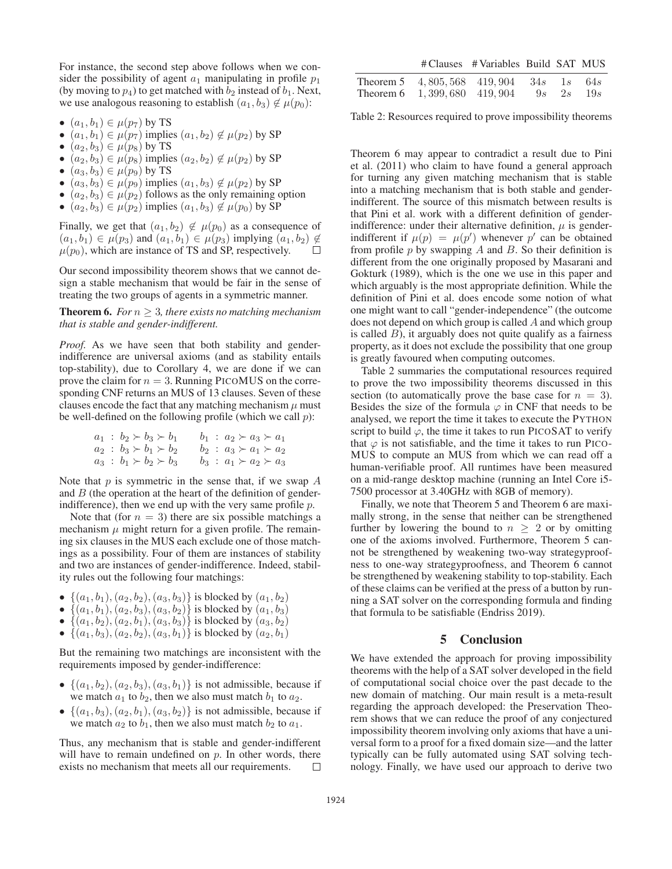For instance, the second step above follows when we consider the possibility of agent  $a_1$  manipulating in profile  $p_1$ (by moving to  $p_4$ ) to get matched with  $b_2$  instead of  $b_1$ . Next, we use analogous reasoning to establish  $(a_1, b_3) \notin \mu(p_0)$ :

- $(a_1, b_1) \in \mu(p_7)$  by TS
- $(a_1, b_1) \in \mu(p_7)$  implies  $(a_1, b_2) \notin \mu(p_2)$  by SP
- $(a_2, b_3) \in \mu(p_8)$  by TS
- $(a_2, b_3) \in \mu(p_8)$  implies  $(a_2, b_2) \notin \mu(p_2)$  by SP
- $(a_3, b_3) \in \mu(p_9)$  by TS
- $(a_3, b_3) \in \mu(p_9)$  implies  $(a_1, b_3) \notin \mu(p_2)$  by SP
- $(a_2, b_3) \in \mu(p_2)$  follows as the only remaining option
- $(a_2, b_3) \in \mu(p_2)$  implies  $(a_1, b_3) \notin \mu(p_0)$  by SP

Finally, we get that  $(a_1, b_2) \notin \mu(p_0)$  as a consequence of  $(a_1, b_1) \in \mu(p_3)$  and  $(a_1, b_1) \in \mu(p_3)$  implying  $(a_1, b_2) \notin$  $\mu(p_0)$ , which are instance of TS and SP, respectively. П

Our second impossibility theorem shows that we cannot design a stable mechanism that would be fair in the sense of treating the two groups of agents in a symmetric manner.

**Theorem 6.** *For*  $n \geq 3$ *, there exists no matching mechanism that is stable and gender-indifferent.*

*Proof.* As we have seen that both stability and genderindifference are universal axioms (and as stability entails top-stability), due to Corollary 4, we are done if we can prove the claim for  $n = 3$ . Running PICOMUS on the corresponding CNF returns an MUS of 13 clauses. Seven of these clauses encode the fact that any matching mechanism  $\mu$  must be well-defined on the following profile (which we call p):

|  | $a_1$ : $b_2 \succ b_3 \succ b_1$ |  | $b_1 : a_2 \succ a_3 \succ a_1$ |
|--|-----------------------------------|--|---------------------------------|
|  | $a_2 : b_3 \succ b_1 \succ b_2$   |  | $b_2 : a_3 \succ a_1 \succ a_2$ |
|  | $a_3 : b_1 \succ b_2 \succ b_3$   |  | $b_3 : a_1 \succ a_2 \succ a_3$ |

Note that  $p$  is symmetric in the sense that, if we swap  $\overline{A}$ and  $B$  (the operation at the heart of the definition of genderindifference), then we end up with the very same profile  $p$ .

Note that (for  $n = 3$ ) there are six possible matchings a mechanism  $\mu$  might return for a given profile. The remaining six clauses in the MUS each exclude one of those matchings as a possibility. Four of them are instances of stability and two are instances of gender-indifference. Indeed, stability rules out the following four matchings:

- $\{(a_1, b_1), (a_2, b_2), (a_3, b_3)\}\$ is blocked by  $(a_1, b_2)$
- $\{(a_1, b_1), (a_2, b_3), (a_3, b_2)\}\$ is blocked by  $(a_1, b_3)$
- $\{(a_1, b_2), (a_2, b_1), (a_3, b_3)\}\$ is blocked by  $(a_3, b_2)$
- { $(a_1, b_3), (a_2, b_2), (a_3, b_1)$ } is blocked by  $(a_2, b_1)$

But the remaining two matchings are inconsistent with the requirements imposed by gender-indifference:

- $\{(a_1, b_2), (a_2, b_3), (a_3, b_1)\}\$ is not admissible, because if we match  $a_1$  to  $b_2$ , then we also must match  $b_1$  to  $a_2$ .
- $\{(a_1, b_3), (a_2, b_1), (a_3, b_2)\}\$ is not admissible, because if we match  $a_2$  to  $b_1$ , then we also must match  $b_2$  to  $a_1$ .

Thus, any mechanism that is stable and gender-indifferent will have to remain undefined on  $p$ . In other words, there exists no mechanism that meets all our requirements.  $\Box$ 

# Clauses # Variables Build SAT MUS

| Theorem 5 $4,805,568$ $419,904$ $34s$ $1s$ $64s$ |  |  |
|--------------------------------------------------|--|--|
| Theorem 6 1, 399, 680 419, 904 9s 2s 19s         |  |  |
|                                                  |  |  |

Table 2: Resources required to prove impossibility theorems

Theorem 6 may appear to contradict a result due to Pini et al. (2011) who claim to have found a general approach for turning any given matching mechanism that is stable into a matching mechanism that is both stable and genderindifferent. The source of this mismatch between results is that Pini et al. work with a different definition of genderindifference: under their alternative definition,  $\mu$  is genderindifferent if  $\mu(p) = \mu(p')$  whenever p' can be obtained from profile  $p$  by swapping  $A$  and  $B$ . So their definition is different from the one originally proposed by Masarani and Gokturk (1989), which is the one we use in this paper and which arguably is the most appropriate definition. While the definition of Pini et al. does encode some notion of what one might want to call "gender-independence" (the outcome does not depend on which group is called A and which group is called  $B$ ), it arguably does not quite qualify as a fairness property, as it does not exclude the possibility that one group is greatly favoured when computing outcomes.

Table 2 summaries the computational resources required to prove the two impossibility theorems discussed in this section (to automatically prove the base case for  $n = 3$ ). Besides the size of the formula  $\varphi$  in CNF that needs to be analysed, we report the time it takes to execute the PYTHON script to build  $\varphi$ , the time it takes to run PICOSAT to verify that  $\varphi$  is not satisfiable, and the time it takes to run PICO-MUS to compute an MUS from which we can read off a human-verifiable proof. All runtimes have been measured on a mid-range desktop machine (running an Intel Core i5- 7500 processor at 3.40GHz with 8GB of memory).

Finally, we note that Theorem 5 and Theorem 6 are maximally strong, in the sense that neither can be strengthened further by lowering the bound to  $n \geq 2$  or by omitting one of the axioms involved. Furthermore, Theorem 5 cannot be strengthened by weakening two-way strategyproofness to one-way strategyproofness, and Theorem 6 cannot be strengthened by weakening stability to top-stability. Each of these claims can be verified at the press of a button by running a SAT solver on the corresponding formula and finding that formula to be satisfiable (Endriss 2019).

# 5 Conclusion

We have extended the approach for proving impossibility theorems with the help of a SAT solver developed in the field of computational social choice over the past decade to the new domain of matching. Our main result is a meta-result regarding the approach developed: the Preservation Theorem shows that we can reduce the proof of any conjectured impossibility theorem involving only axioms that have a universal form to a proof for a fixed domain size—and the latter typically can be fully automated using SAT solving technology. Finally, we have used our approach to derive two